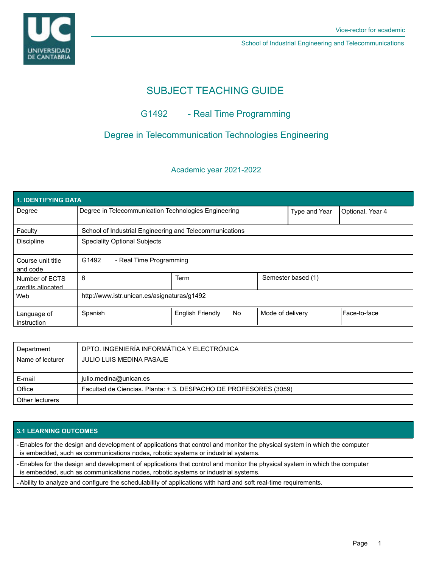

School of Industrial Engineering and Telecommunications

# SUBJECT TEACHING GUIDE

## G1492 - Real Time Programming

### Degree in Telecommunication Technologies Engineering

#### Academic year 2021-2022

| 1. IDENTIFYING DATA                 |                                                         |                         |           |                  |                    |                  |
|-------------------------------------|---------------------------------------------------------|-------------------------|-----------|------------------|--------------------|------------------|
| Degree                              | Degree in Telecommunication Technologies Engineering    |                         |           |                  | Type and Year      | Optional. Year 4 |
| Faculty                             | School of Industrial Engineering and Telecommunications |                         |           |                  |                    |                  |
| <b>Discipline</b>                   | <b>Speciality Optional Subjects</b>                     |                         |           |                  |                    |                  |
| Course unit title<br>and code       | G1492<br>- Real Time Programming                        |                         |           |                  |                    |                  |
| Number of ECTS<br>credits allocated | 6                                                       | Term                    |           |                  | Semester based (1) |                  |
| Web                                 | http://www.istr.unican.es/asignaturas/g1492             |                         |           |                  |                    |                  |
| Language of<br>instruction          | Spanish                                                 | <b>English Friendly</b> | <b>No</b> | Mode of delivery |                    | Face-to-face     |

| Department       | DPTO. INGENIERÍA INFORMÁTICA Y ELECTRÓNICA                      |  |
|------------------|-----------------------------------------------------------------|--|
| Name of lecturer | JULIO LUIS MEDINA PASAJE                                        |  |
|                  |                                                                 |  |
| E-mail           | julio.medina@unican.es                                          |  |
| Office           | Facultad de Ciencias. Planta: +3. DESPACHO DE PROFESORES (3059) |  |
| Other lecturers  |                                                                 |  |

### **3.1 LEARNING OUTCOMES**

- Enables for the design and development of applications that control and monitor the physical system in which the computer is embedded, such as communications nodes, robotic systems or industrial systems.

- Enables for the design and development of applications that control and monitor the physical system in which the computer

is embedded, such as communications nodes, robotic systems or industrial systems.

- Ability to analyze and configure the schedulability of applications with hard and soft real-time requirements.